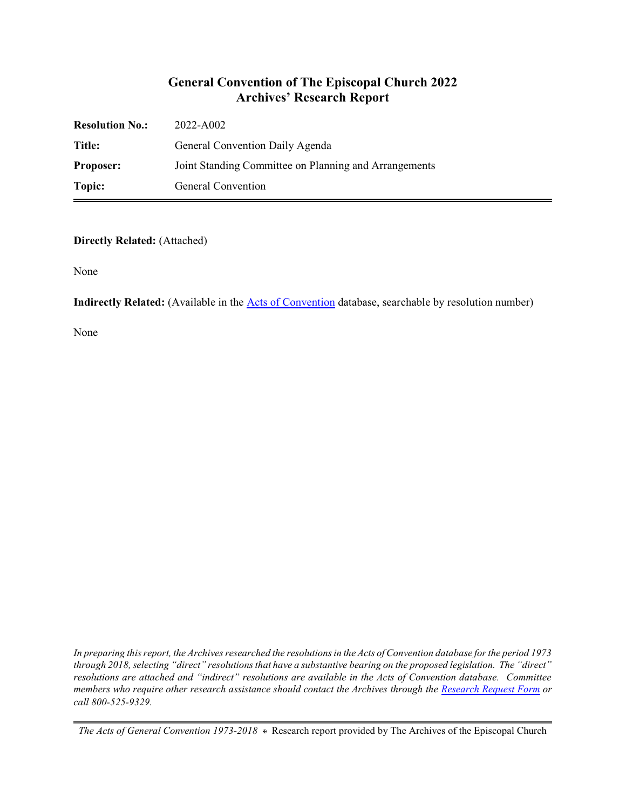## **General Convention of The Episcopal Church 2022 Archives' Research Report**

| <b>Resolution No.:</b> | 2022-A002                                             |
|------------------------|-------------------------------------------------------|
| Title:                 | General Convention Daily Agenda                       |
| <b>Proposer:</b>       | Joint Standing Committee on Planning and Arrangements |
| Topic:                 | General Convention                                    |

#### **Directly Related:** (Attached)

None

**Indirectly Related:** (Available in the **Acts of Convention** database, searchable by resolution number)

None

*In preparing this report, the Archives researched the resolutions in the Acts of Convention database for the period 1973 through 2018, selecting "direct" resolutions that have a substantive bearing on the proposed legislation. The "direct" resolutions are attached and "indirect" resolutions are available in the Acts of Convention database. Committee members who require other research assistance should contact the Archives through the Research [Request Form](https://www.episcopalarchives.org/contact/research-request-form) or call 800-525-9329.*

*The Acts of General Convention 1973-2018*  $*$  Research report provided by The Archives of the Episcopal Church